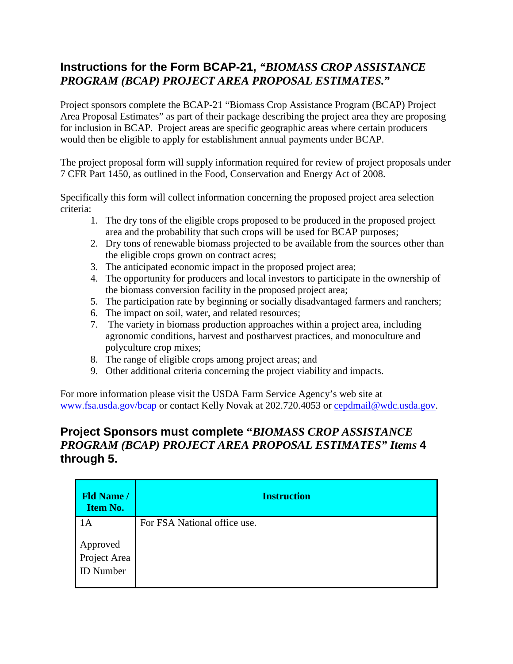## **Instructions for the Form BCAP-21,** *"BIOMASS CROP ASSISTANCE PROGRAM (BCAP) PROJECT AREA PROPOSAL ESTIMATES.***"**

Project sponsors complete the BCAP-21 "Biomass Crop Assistance Program (BCAP) Project Area Proposal Estimates" as part of their package describing the project area they are proposing for inclusion in BCAP. Project areas are specific geographic areas where certain producers would then be eligible to apply for establishment annual payments under BCAP.

The project proposal form will supply information required for review of project proposals under 7 CFR Part 1450, as outlined in the Food, Conservation and Energy Act of 2008.

Specifically this form will collect information concerning the proposed project area selection criteria:

- 1. The dry tons of the eligible crops proposed to be produced in the proposed project area and the probability that such crops will be used for BCAP purposes;
- 2. Dry tons of renewable biomass projected to be available from the sources other than the eligible crops grown on contract acres;
- 3. The anticipated economic impact in the proposed project area;
- 4. The opportunity for producers and local investors to participate in the ownership of the biomass conversion facility in the proposed project area;
- 5. The participation rate by beginning or socially disadvantaged farmers and ranchers;
- 6. The impact on soil, water, and related resources;
- 7. The variety in biomass production approaches within a project area, including agronomic conditions, harvest and postharvest practices, and monoculture and polyculture crop mixes;
- 8. The range of eligible crops among project areas; and
- 9. Other additional criteria concerning the project viability and impacts.

For more information please visit the USDA Farm Service Agency's web site at www.fsa.usda.gov/bcap or contact Kelly Novak at 202.720.4053 or [cepdmail@wdc.usda.gov.](mailto:cepdmail@wdc.usda.gov)

## **Project Sponsors must complete "***BIOMASS CROP ASSISTANCE PROGRAM (BCAP) PROJECT AREA PROPOSAL ESTIMATES" Items* **4 through 5.**

| <b>Fld Name /</b><br><b>Item No.</b>  | <b>Instruction</b>           |
|---------------------------------------|------------------------------|
| lА                                    | For FSA National office use. |
| Approved<br>Project Area<br>ID Number |                              |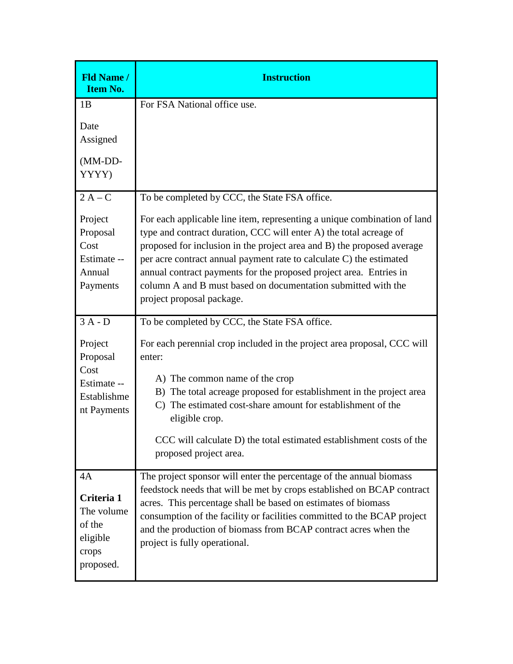| <b>Fld Name /</b><br><b>Item No.</b>                                                 | <b>Instruction</b>                                                                                                                                                                                                                                                                                                                                                                                                                                                                                                   |
|--------------------------------------------------------------------------------------|----------------------------------------------------------------------------------------------------------------------------------------------------------------------------------------------------------------------------------------------------------------------------------------------------------------------------------------------------------------------------------------------------------------------------------------------------------------------------------------------------------------------|
| 1B<br>Date<br>Assigned<br>(MM-DD-<br>YYYY)                                           | For FSA National office use.                                                                                                                                                                                                                                                                                                                                                                                                                                                                                         |
| $2A-C$<br>Project<br>Proposal<br>Cost<br>Estimate --<br>Annual<br>Payments           | To be completed by CCC, the State FSA office.<br>For each applicable line item, representing a unique combination of land<br>type and contract duration, CCC will enter A) the total acreage of<br>proposed for inclusion in the project area and B) the proposed average<br>per acre contract annual payment rate to calculate C) the estimated<br>annual contract payments for the proposed project area. Entries in<br>column A and B must based on documentation submitted with the<br>project proposal package. |
| $3A - D$<br>Project<br>Proposal<br>Cost<br>Estimate --<br>Establishme<br>nt Payments | To be completed by CCC, the State FSA office.<br>For each perennial crop included in the project area proposal, CCC will<br>enter:<br>A) The common name of the crop<br>B) The total acreage proposed for establishment in the project area<br>C) The estimated cost-share amount for establishment of the<br>eligible crop.<br>CCC will calculate D) the total estimated establishment costs of the<br>proposed project area.                                                                                       |
| 4A<br>Criteria 1<br>The volume<br>of the<br>eligible<br>crops<br>proposed.           | The project sponsor will enter the percentage of the annual biomass<br>feedstock needs that will be met by crops established on BCAP contract<br>acres. This percentage shall be based on estimates of biomass<br>consumption of the facility or facilities committed to the BCAP project<br>and the production of biomass from BCAP contract acres when the<br>project is fully operational.                                                                                                                        |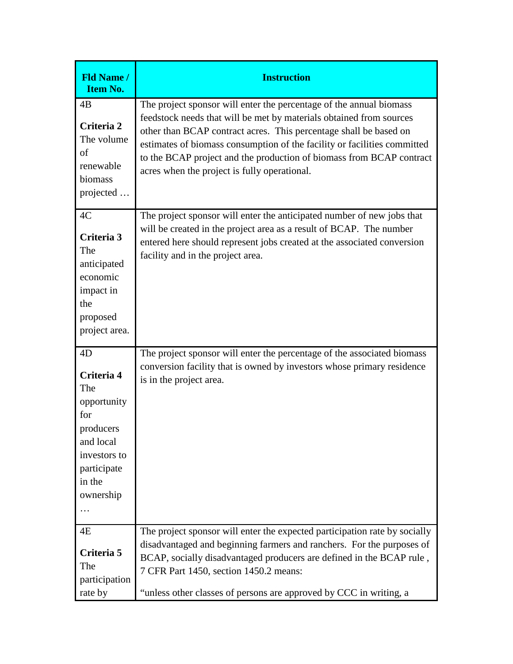| <b>Fld Name /</b><br><b>Item No.</b>                                                                                               | <b>Instruction</b>                                                                                                                                                                                                                                                                                                                                                                                                  |
|------------------------------------------------------------------------------------------------------------------------------------|---------------------------------------------------------------------------------------------------------------------------------------------------------------------------------------------------------------------------------------------------------------------------------------------------------------------------------------------------------------------------------------------------------------------|
| 4B<br>Criteria 2<br>The volume<br>of<br>renewable<br>biomass<br>projected                                                          | The project sponsor will enter the percentage of the annual biomass<br>feedstock needs that will be met by materials obtained from sources<br>other than BCAP contract acres. This percentage shall be based on<br>estimates of biomass consumption of the facility or facilities committed<br>to the BCAP project and the production of biomass from BCAP contract<br>acres when the project is fully operational. |
| 4C<br>Criteria 3<br>The<br>anticipated<br>economic<br>impact in<br>the<br>proposed<br>project area.                                | The project sponsor will enter the anticipated number of new jobs that<br>will be created in the project area as a result of BCAP. The number<br>entered here should represent jobs created at the associated conversion<br>facility and in the project area.                                                                                                                                                       |
| 4D<br>Criteria 4<br>The<br>opportunity<br>for<br>producers<br>and local<br>investors to<br>participate<br>in the<br>ownership<br>. | The project sponsor will enter the percentage of the associated biomass<br>conversion facility that is owned by investors whose primary residence<br>is in the project area.                                                                                                                                                                                                                                        |
| 4E<br>Criteria 5<br>The<br>participation<br>rate by                                                                                | The project sponsor will enter the expected participation rate by socially<br>disadvantaged and beginning farmers and ranchers. For the purposes of<br>BCAP, socially disadvantaged producers are defined in the BCAP rule,<br>7 CFR Part 1450, section 1450.2 means:<br>"unless other classes of persons are approved by CCC in writing, a                                                                         |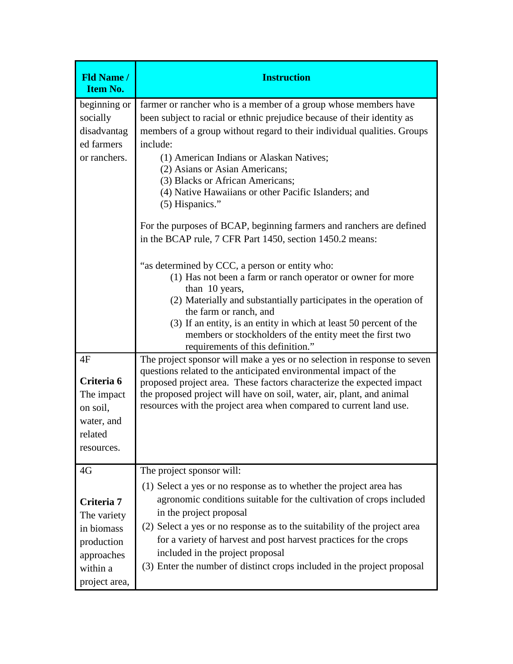| <b>Fld Name /</b><br><b>Item No.</b>                                                                   | <b>Instruction</b>                                                                                                                                                                                                                                                                                                                                                                                                                                                                                                                                                                                                                                                                                                                                                                                                                                                                                                                                                                                                                                      |
|--------------------------------------------------------------------------------------------------------|---------------------------------------------------------------------------------------------------------------------------------------------------------------------------------------------------------------------------------------------------------------------------------------------------------------------------------------------------------------------------------------------------------------------------------------------------------------------------------------------------------------------------------------------------------------------------------------------------------------------------------------------------------------------------------------------------------------------------------------------------------------------------------------------------------------------------------------------------------------------------------------------------------------------------------------------------------------------------------------------------------------------------------------------------------|
| beginning or<br>socially<br>disadvantag<br>ed farmers<br>or ranchers.<br>4F                            | farmer or rancher who is a member of a group whose members have<br>been subject to racial or ethnic prejudice because of their identity as<br>members of a group without regard to their individual qualities. Groups<br>include:<br>(1) American Indians or Alaskan Natives;<br>(2) Asians or Asian Americans;<br>(3) Blacks or African Americans;<br>(4) Native Hawaiians or other Pacific Islanders; and<br>(5) Hispanics."<br>For the purposes of BCAP, beginning farmers and ranchers are defined<br>in the BCAP rule, 7 CFR Part 1450, section 1450.2 means:<br>"as determined by CCC, a person or entity who:<br>(1) Has not been a farm or ranch operator or owner for more<br>than 10 years,<br>(2) Materially and substantially participates in the operation of<br>the farm or ranch, and<br>(3) If an entity, is an entity in which at least 50 percent of the<br>members or stockholders of the entity meet the first two<br>requirements of this definition."<br>The project sponsor will make a yes or no selection in response to seven |
| Criteria 6<br>The impact<br>on soil,<br>water, and<br>related<br>resources.                            | questions related to the anticipated environmental impact of the<br>proposed project area. These factors characterize the expected impact<br>the proposed project will have on soil, water, air, plant, and animal<br>resources with the project area when compared to current land use.                                                                                                                                                                                                                                                                                                                                                                                                                                                                                                                                                                                                                                                                                                                                                                |
| 4G<br>Criteria 7<br>The variety<br>in biomass<br>production<br>approaches<br>within a<br>project area, | The project sponsor will:<br>(1) Select a yes or no response as to whether the project area has<br>agronomic conditions suitable for the cultivation of crops included<br>in the project proposal<br>(2) Select a yes or no response as to the suitability of the project area<br>for a variety of harvest and post harvest practices for the crops<br>included in the project proposal<br>(3) Enter the number of distinct crops included in the project proposal                                                                                                                                                                                                                                                                                                                                                                                                                                                                                                                                                                                      |